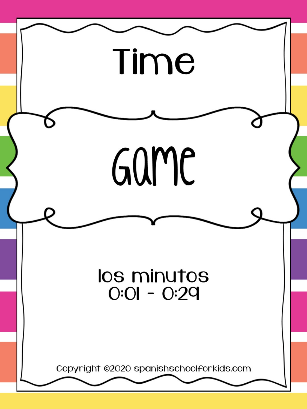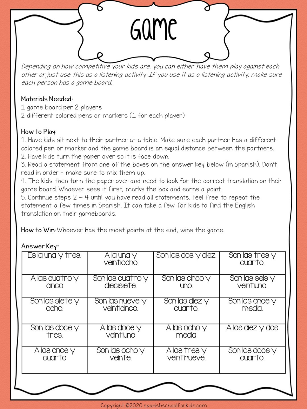

Depending on how competitive your kids are, you can either have them play against each other or just use this as a listening activity. If you use it as a listening activity, make sure each person has a game board.

## Materials Needed:

- 1 game board per 2 players
- 2 different colored pens or markers (1 for each player)

## How to Play:

1. Have kids sit next to their partner at a table. Make sure each partner has a different colored pen or marker and the game board is an equal distance between the partners. 2. Have kids turn the paper over so it is face down.

3. Read a statement from one of the boxes on the answer key below (in Spanish). Don't read in order - make sure to mix them up.

4. The kids then turn the paper over and need to look for the correct translation on their game board. Whoever sees it first, marks the box and earns a point.

5. Continue steps  $2 - 4$  until you have read all statements. Feel free to repeat the statement a few times in Spanish. It can take a few for kids to find the English translation on their gameboards.

How to Win: Whoever has the most points at the end, wins the game.

## Answer Key:

| Es la una y tres. | A la una y<br>veintiocho | Son las dos y diez. | Son las tres y<br>cuarto. |
|-------------------|--------------------------|---------------------|---------------------------|
| A las cuatro y    | Son las cuatro y         | Son las cinco y     | Son las seis y            |
| cinco             | diecisiete.              | uno.                | veintiuno.                |
| Son las siete y   | Son las nueve y          | Son las diez y      | Son las once y            |
| ocho.             | veinticinco.             | cuarto.             | media.                    |
| Son las doce y    | A las doce y             | A las ocho y        | A las diez y dos          |
| tres.             | veintiuno                | media               |                           |
| A las once y      | Son las ocho y           | A las tres y        | Son las doce y            |
| cuarto            | veinte.                  | veintinueve.        | cuarto.                   |
|                   |                          |                     |                           |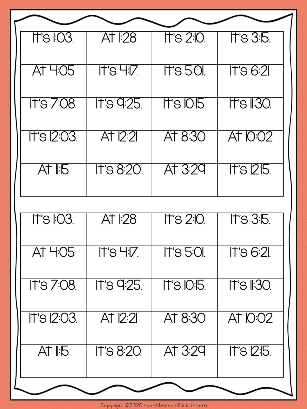| It's I:03.  | At $\mathbb{R}^2$ | $\overline{11}$ 's 2:10. | $ITS$ 3:15.             |
|-------------|-------------------|--------------------------|-------------------------|
|             |                   |                          |                         |
| AT 4:05     | It's 47.          | It's 5:01.               | $\overline{1}$ is 6:21. |
|             |                   |                          |                         |
| It's 7:08.  | It's 9:25.        | It's $O:5$ .             | It's I:30.              |
|             |                   |                          |                         |
| It's 12:03. | At $2:2$          | AT 8:30                  | <b>AT IO:02</b>         |
|             |                   |                          |                         |
| $AT$ $IB$   | It's 8:20.        | At $3:29$                | $17°$ s 12:15.          |
|             |                   |                          |                         |
|             |                   |                          |                         |
| It's I:03.  | At $ 28$          | It's 2:10.               | ITS 3:5.                |
| AT 4:05     | It's 4:17.        | IT's 5:01.               | lt's 6:21.              |
|             |                   |                          |                         |
| It's 7:08.  | It's 9:25.        | It's $O:5$ .             | $17's$ $130$            |
|             |                   |                          |                         |
| It's 12:03. | At $2:2$          | AT 8:30                  | AT IO:02                |
|             |                   |                          |                         |
| $At$ $H5$   | It's 8:20.        | At $3:29$                | It's $2:5$ .            |
|             |                   |                          |                         |
|             |                   |                          |                         |